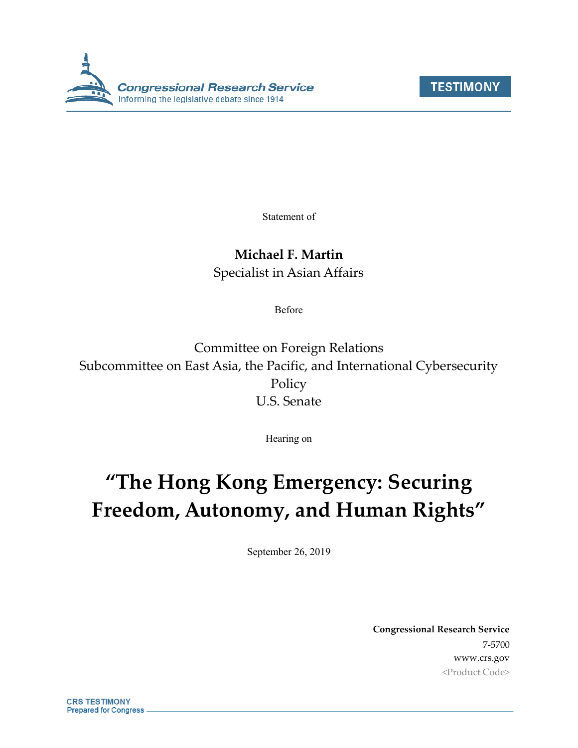



Statement of

## **Michael F. Martin**

Specialist in Asian Affairs

Before

Committee on Foreign Relations Subcommittee on East Asia, the Pacific, and International Cybersecurity Policy U.S. Senate

Hearing on

# **"The Hong Kong Emergency: Securing Freedom, Autonomy, and Human Rights"**

September 26, 2019

**Congressional Research Service** 7-5700 www.crs.gov <Product Code>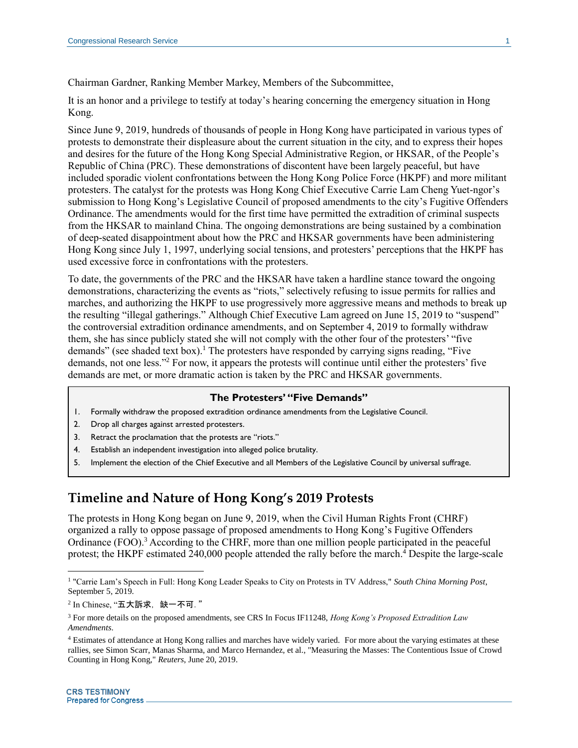Chairman Gardner, Ranking Member Markey, Members of the Subcommittee,

It is an honor and a privilege to testify at today's hearing concerning the emergency situation in Hong Kong.

Since June 9, 2019, hundreds of thousands of people in Hong Kong have participated in various types of protests to demonstrate their displeasure about the current situation in the city, and to express their hopes and desires for the future of the Hong Kong Special Administrative Region, or HKSAR, of the People's Republic of China (PRC). These demonstrations of discontent have been largely peaceful, but have included sporadic violent confrontations between the Hong Kong Police Force (HKPF) and more militant protesters. The catalyst for the protests was Hong Kong Chief Executive Carrie Lam Cheng Yuet-ngor's submission to Hong Kong's Legislative Council of proposed amendments to the city's Fugitive Offenders Ordinance. The amendments would for the first time have permitted the extradition of criminal suspects from the HKSAR to mainland China. The ongoing demonstrations are being sustained by a combination of deep-seated disappointment about how the PRC and HKSAR governments have been administering Hong Kong since July 1, 1997, underlying social tensions, and protesters' perceptions that the HKPF has used excessive force in confrontations with the protesters.

To date, the governments of the PRC and the HKSAR have taken a hardline stance toward the ongoing demonstrations, characterizing the events as "riots," selectively refusing to issue permits for rallies and marches, and authorizing the HKPF to use progressively more aggressive means and methods to break up the resulting "illegal gatherings." Although Chief Executive Lam agreed on June 15, 2019 to "suspend" the controversial extradition ordinance amendments, and on September 4, 2019 to formally withdraw them, she has since publicly stated she will not comply with the other four of the protesters' "five demands" (see shaded text box).<sup>1</sup> The protesters have responded by carrying signs reading, "Five demands, not one less." <sup>2</sup> For now, it appears the protests will continue until either the protesters' five demands are met, or more dramatic action is taken by the PRC and HKSAR governments.

#### **The Protesters' "Five Demands"**

- 1. Formally withdraw the proposed extradition ordinance amendments from the Legislative Council.
- 2. Drop all charges against arrested protesters.
- 3. Retract the proclamation that the protests are "riots."
- 4. Establish an independent investigation into alleged police brutality.
- 5. Implement the election of the Chief Executive and all Members of the Legislative Council by universal suffrage.

## **Timeline and Nature of Hong Kong's 2019 Protests**

The protests in Hong Kong began on June 9, 2019, when the Civil Human Rights Front (CHRF) organized a rally to oppose passage of proposed amendments to Hong Kong's Fugitive Offenders Ordinance (FOO).<sup>3</sup> According to the CHRF, more than one million people participated in the peaceful protest; the HKPF estimated 240,000 people attended the rally before the march. <sup>4</sup> Despite the large-scale

<sup>&</sup>lt;sup>1</sup> "Carrie Lam's Speech in Full: Hong Kong Leader Speaks to City on Protests in TV Address," *South China Morning Post*, September 5, 2019.

 $^2$  In Chinese, "五大訴求,缺一不可. "

<sup>3</sup> For more details on the proposed amendments, see CRS In Focus IF11248, *Hong Kong's Proposed Extradition Law Amendments*.

<sup>4</sup> Estimates of attendance at Hong Kong rallies and marches have widely varied. For more about the varying estimates at these rallies, see Simon Scarr, Manas Sharma, and Marco Hernandez, et al., "Measuring the Masses: The Contentious Issue of Crowd Counting in Hong Kong," *Reuters*, June 20, 2019.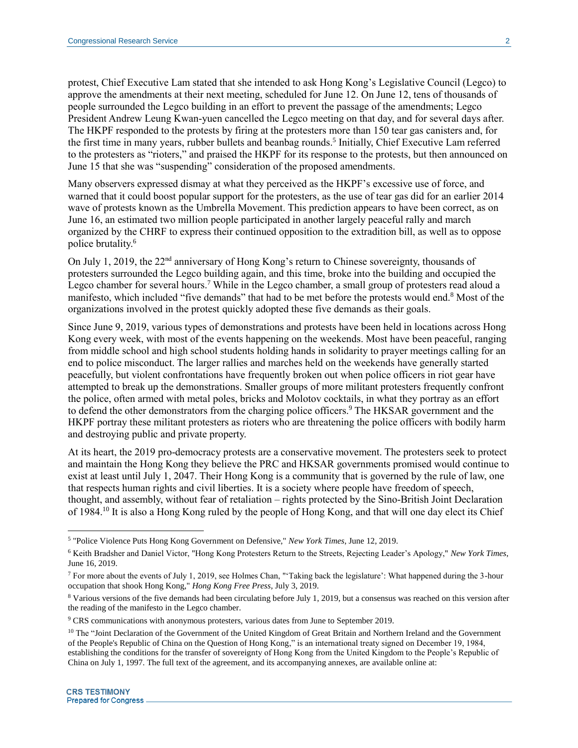protest, Chief Executive Lam stated that she intended to ask Hong Kong's Legislative Council (Legco) to approve the amendments at their next meeting, scheduled for June 12. On June 12, tens of thousands of people surrounded the Legco building in an effort to prevent the passage of the amendments; Legco President Andrew Leung Kwan-yuen cancelled the Legco meeting on that day, and for several days after. The HKPF responded to the protests by firing at the protesters more than 150 tear gas canisters and, for the first time in many years, rubber bullets and beanbag rounds. 5 Initially, Chief Executive Lam referred to the protesters as "rioters," and praised the HKPF for its response to the protests, but then announced on June 15 that she was "suspending" consideration of the proposed amendments.

Many observers expressed dismay at what they perceived as the HKPF's excessive use of force, and warned that it could boost popular support for the protesters, as the use of tear gas did for an earlier 2014 wave of protests known as the Umbrella Movement. This prediction appears to have been correct, as on June 16, an estimated two million people participated in another largely peaceful rally and march organized by the CHRF to express their continued opposition to the extradition bill, as well as to oppose police brutality.<sup>6</sup>

On July 1, 2019, the 22<sup>nd</sup> anniversary of Hong Kong's return to Chinese sovereignty, thousands of protesters surrounded the Legco building again, and this time, broke into the building and occupied the Legco chamber for several hours.<sup>7</sup> While in the Legco chamber, a small group of protesters read aloud a manifesto, which included "five demands" that had to be met before the protests would end.<sup>8</sup> Most of the organizations involved in the protest quickly adopted these five demands as their goals.

Since June 9, 2019, various types of demonstrations and protests have been held in locations across Hong Kong every week, with most of the events happening on the weekends. Most have been peaceful, ranging from middle school and high school students holding hands in solidarity to prayer meetings calling for an end to police misconduct. The larger rallies and marches held on the weekends have generally started peacefully, but violent confrontations have frequently broken out when police officers in riot gear have attempted to break up the demonstrations. Smaller groups of more militant protesters frequently confront the police, often armed with metal poles, bricks and Molotov cocktails, in what they portray as an effort to defend the other demonstrators from the charging police officers.<sup>9</sup> The HKSAR government and the HKPF portray these militant protesters as rioters who are threatening the police officers with bodily harm and destroying public and private property.

At its heart, the 2019 pro-democracy protests are a conservative movement. The protesters seek to protect and maintain the Hong Kong they believe the PRC and HKSAR governments promised would continue to exist at least until July 1, 2047. Their Hong Kong is a community that is governed by the rule of law, one that respects human rights and civil liberties. It is a society where people have freedom of speech, thought, and assembly, without fear of retaliation – rights protected by the Sino-British Joint Declaration of 1984.<sup>10</sup> It is also a Hong Kong ruled by the people of Hong Kong, and that will one day elect its Chief

<sup>5</sup> "Police Violence Puts Hong Kong Government on Defensive," *New York Times*, June 12, 2019.

<sup>6</sup> Keith Bradsher and Daniel Victor, "Hong Kong Protesters Return to the Streets, Rejecting Leader's Apology," *New York Times*, June 16, 2019.

 $7$  For more about the events of July 1, 2019, see Holmes Chan, "Taking back the legislature': What happened during the 3-hour occupation that shook Hong Kong," *Hong Kong Free Press*, July 3, 2019.

<sup>8</sup> Various versions of the five demands had been circulating before July 1, 2019, but a consensus was reached on this version after the reading of the manifesto in the Legco chamber.

<sup>9</sup> CRS communications with anonymous protesters, various dates from June to September 2019.

<sup>&</sup>lt;sup>10</sup> The "Joint Declaration of the Government of the United Kingdom of Great Britain and Northern Ireland and the Government of the People's Republic of China on the Question of Hong Kong," is an international treaty signed on December 19, 1984, establishing the conditions for the transfer of sovereignty of Hong Kong from the United Kingdom to the People's Republic of China on July 1, 1997. The full text of the agreement, and its accompanying annexes, are available online at: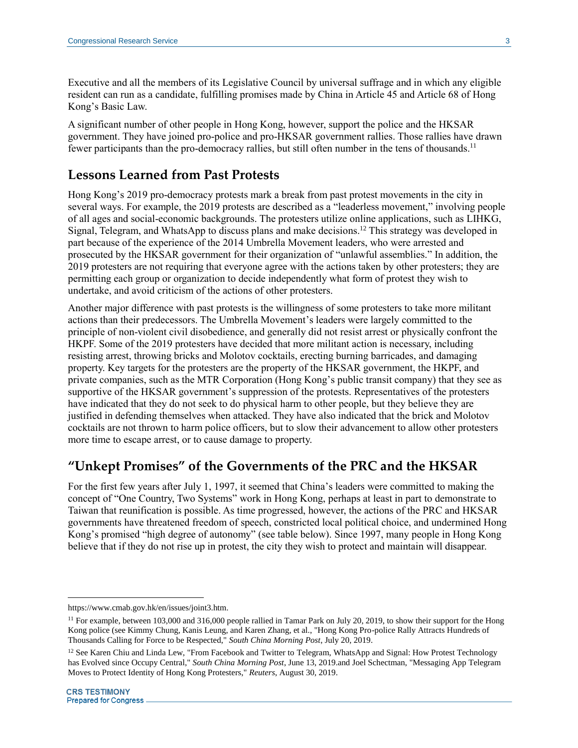Executive and all the members of its Legislative Council by universal suffrage and in which any eligible resident can run as a candidate, fulfilling promises made by China in Article 45 and Article 68 of Hong Kong's Basic Law.

A significant number of other people in Hong Kong, however, support the police and the HKSAR government. They have joined pro-police and pro-HKSAR government rallies. Those rallies have drawn fewer participants than the pro-democracy rallies, but still often number in the tens of thousands.<sup>11</sup>

### **Lessons Learned from Past Protests**

Hong Kong's 2019 pro-democracy protests mark a break from past protest movements in the city in several ways. For example, the 2019 protests are described as a "leaderless movement," involving people of all ages and social-economic backgrounds. The protesters utilize online applications, such as LIHKG, Signal, Telegram, and WhatsApp to discuss plans and make decisions.<sup>12</sup> This strategy was developed in part because of the experience of the 2014 Umbrella Movement leaders, who were arrested and prosecuted by the HKSAR government for their organization of "unlawful assemblies." In addition, the 2019 protesters are not requiring that everyone agree with the actions taken by other protesters; they are permitting each group or organization to decide independently what form of protest they wish to undertake, and avoid criticism of the actions of other protesters.

Another major difference with past protests is the willingness of some protesters to take more militant actions than their predecessors. The Umbrella Movement's leaders were largely committed to the principle of non-violent civil disobedience, and generally did not resist arrest or physically confront the HKPF. Some of the 2019 protesters have decided that more militant action is necessary, including resisting arrest, throwing bricks and Molotov cocktails, erecting burning barricades, and damaging property. Key targets for the protesters are the property of the HKSAR government, the HKPF, and private companies, such as the MTR Corporation (Hong Kong's public transit company) that they see as supportive of the HKSAR government's suppression of the protests. Representatives of the protesters have indicated that they do not seek to do physical harm to other people, but they believe they are justified in defending themselves when attacked. They have also indicated that the brick and Molotov cocktails are not thrown to harm police officers, but to slow their advancement to allow other protesters more time to escape arrest, or to cause damage to property.

## **"Unkept Promises" of the Governments of the PRC and the HKSAR**

For the first few years after July 1, 1997, it seemed that China's leaders were committed to making the concept of "One Country, Two Systems" work in Hong Kong, perhaps at least in part to demonstrate to Taiwan that reunification is possible. As time progressed, however, the actions of the PRC and HKSAR governments have threatened freedom of speech, constricted local political choice, and undermined Hong Kong's promised "high degree of autonomy" (see table below). Since 1997, many people in Hong Kong believe that if they do not rise up in protest, the city they wish to protect and maintain will disappear.

https://www.cmab.gov.hk/en/issues/joint3.htm.

 $11$  For example, between 103,000 and 316,000 people rallied in Tamar Park on July 20, 2019, to show their support for the Hong Kong police (see Kimmy Chung, Kanis Leung, and Karen Zhang, et al., "Hong Kong Pro-police Rally Attracts Hundreds of Thousands Calling for Force to be Respected," *South China Morning Post*, July 20, 2019.

 $12$  See Karen Chiu and Linda Lew, "From Facebook and Twitter to Telegram, WhatsApp and Signal: How Protest Technology has Evolved since Occupy Central," *South China Morning Post*, June 13, 2019.and Joel Schectman, "Messaging App Telegram Moves to Protect Identity of Hong Kong Protesters," *Reuters*, August 30, 2019.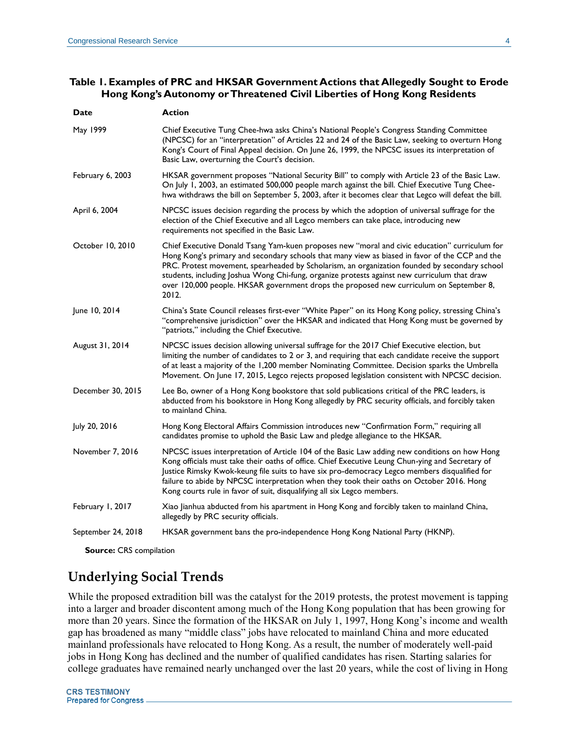#### **Table 1. Examples of PRC and HKSAR Government Actions that Allegedly Sought to Erode Hong Kong's Autonomy or Threatened Civil Liberties of Hong Kong Residents**

| Date               | <b>Action</b>                                                                                                                                                                                                                                                                                                                                                                                                                                                                                        |
|--------------------|------------------------------------------------------------------------------------------------------------------------------------------------------------------------------------------------------------------------------------------------------------------------------------------------------------------------------------------------------------------------------------------------------------------------------------------------------------------------------------------------------|
| May 1999           | Chief Executive Tung Chee-hwa asks China's National People's Congress Standing Committee<br>(NPCSC) for an "interpretation" of Articles 22 and 24 of the Basic Law, seeking to overturn Hong<br>Kong's Court of Final Appeal decision. On June 26, 1999, the NPCSC issues its interpretation of<br>Basic Law, overturning the Court's decision.                                                                                                                                                      |
| February 6, 2003   | HKSAR government proposes "National Security Bill" to comply with Article 23 of the Basic Law.<br>On July 1, 2003, an estimated 500,000 people march against the bill. Chief Executive Tung Chee-<br>hwa withdraws the bill on September 5, 2003, after it becomes clear that Legco will defeat the bill.                                                                                                                                                                                            |
| April 6, 2004      | NPCSC issues decision regarding the process by which the adoption of universal suffrage for the<br>election of the Chief Executive and all Legco members can take place, introducing new<br>requirements not specified in the Basic Law.                                                                                                                                                                                                                                                             |
| October 10, 2010   | Chief Executive Donald Tsang Yam-kuen proposes new "moral and civic education" curriculum for<br>Hong Kong's primary and secondary schools that many view as biased in favor of the CCP and the<br>PRC. Protest movement, spearheaded by Scholarism, an organization founded by secondary school<br>students, including Joshua Wong Chi-fung, organize protests against new curriculum that draw<br>over 120,000 people. HKSAR government drops the proposed new curriculum on September 8,<br>2012. |
| June 10, 2014      | China's State Council releases first-ever "White Paper" on its Hong Kong policy, stressing China's<br>"comprehensive jurisdiction" over the HKSAR and indicated that Hong Kong must be governed by<br>"patriots," including the Chief Executive.                                                                                                                                                                                                                                                     |
| August 31, 2014    | NPCSC issues decision allowing universal suffrage for the 2017 Chief Executive election, but<br>limiting the number of candidates to 2 or 3, and requiring that each candidate receive the support<br>of at least a majority of the 1,200 member Nominating Committee. Decision sparks the Umbrella<br>Movement. On June 17, 2015, Legco rejects proposed legislation consistent with NPCSC decision.                                                                                                |
| December 30, 2015  | Lee Bo, owner of a Hong Kong bookstore that sold publications critical of the PRC leaders, is<br>abducted from his bookstore in Hong Kong allegedly by PRC security officials, and forcibly taken<br>to mainland China.                                                                                                                                                                                                                                                                              |
| July 20, 2016      | Hong Kong Electoral Affairs Commission introduces new "Confirmation Form," requiring all<br>candidates promise to uphold the Basic Law and pledge allegiance to the HKSAR.                                                                                                                                                                                                                                                                                                                           |
| November 7, 2016   | NPCSC issues interpretation of Article 104 of the Basic Law adding new conditions on how Hong<br>Kong officials must take their oaths of office. Chief Executive Leung Chun-ying and Secretary of<br>Justice Rimsky Kwok-keung file suits to have six pro-democracy Legco members disqualified for<br>failure to abide by NPCSC interpretation when they took their oaths on October 2016. Hong<br>Kong courts rule in favor of suit, disqualifying all six Legco members.                           |
| February 1, 2017   | Xiao Jianhua abducted from his apartment in Hong Kong and forcibly taken to mainland China,<br>allegedly by PRC security officials.                                                                                                                                                                                                                                                                                                                                                                  |
| September 24, 2018 | HKSAR government bans the pro-independence Hong Kong National Party (HKNP).                                                                                                                                                                                                                                                                                                                                                                                                                          |

**Source:** CRS compilation

## **Underlying Social Trends**

While the proposed extradition bill was the catalyst for the 2019 protests, the protest movement is tapping into a larger and broader discontent among much of the Hong Kong population that has been growing for more than 20 years. Since the formation of the HKSAR on July 1, 1997, Hong Kong's income and wealth gap has broadened as many "middle class" jobs have relocated to mainland China and more educated mainland professionals have relocated to Hong Kong. As a result, the number of moderately well-paid jobs in Hong Kong has declined and the number of qualified candidates has risen. Starting salaries for college graduates have remained nearly unchanged over the last 20 years, while the cost of living in Hong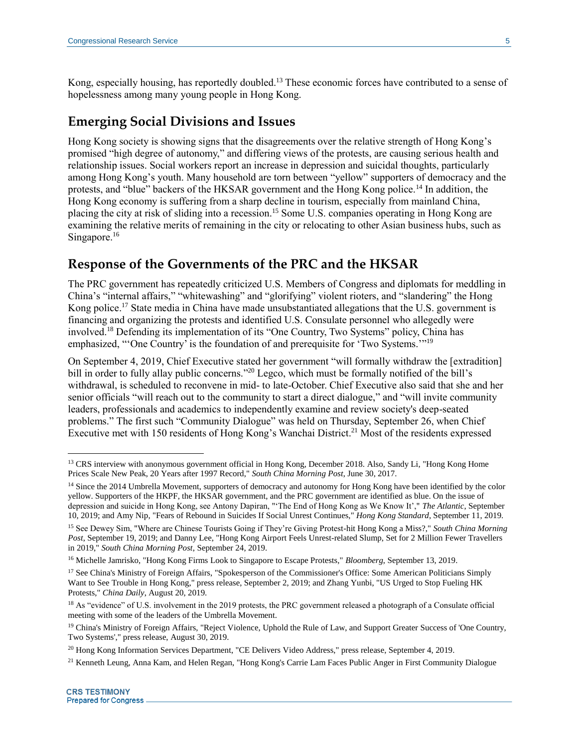Kong, especially housing, has reportedly doubled.<sup>13</sup> These economic forces have contributed to a sense of hopelessness among many young people in Hong Kong.

## **Emerging Social Divisions and Issues**

Hong Kong society is showing signs that the disagreements over the relative strength of Hong Kong's promised "high degree of autonomy," and differing views of the protests, are causing serious health and relationship issues. Social workers report an increase in depression and suicidal thoughts, particularly among Hong Kong's youth. Many household are torn between "yellow" supporters of democracy and the protests, and "blue" backers of the HKSAR government and the Hong Kong police.<sup>14</sup> In addition, the Hong Kong economy is suffering from a sharp decline in tourism, especially from mainland China, placing the city at risk of sliding into a recession.<sup>15</sup> Some U.S. companies operating in Hong Kong are examining the relative merits of remaining in the city or relocating to other Asian business hubs, such as Singapore.<sup>16</sup>

## **Response of the Governments of the PRC and the HKSAR**

The PRC government has repeatedly criticized U.S. Members of Congress and diplomats for meddling in China's "internal affairs," "whitewashing" and "glorifying" violent rioters, and "slandering" the Hong Kong police.<sup>17</sup> State media in China have made unsubstantiated allegations that the U.S. government is financing and organizing the protests and identified U.S. Consulate personnel who allegedly were involved.<sup>18</sup> Defending its implementation of its "One Country, Two Systems" policy, China has emphasized, "'One Country' is the foundation of and prerequisite for 'Two Systems.'"<sup>19</sup>

On September 4, 2019, Chief Executive stated her government "will formally withdraw the [extradition] bill in order to fully allay public concerns."<sup>20</sup> Legco, which must be formally notified of the bill's withdrawal, is scheduled to reconvene in mid- to late-October. Chief Executive also said that she and her senior officials "will reach out to the community to start a direct dialogue," and "will invite community leaders, professionals and academics to independently examine and review society's deep-seated problems." The first such "Community Dialogue" was held on Thursday, September 26, when Chief Executive met with 150 residents of Hong Kong's Wanchai District.<sup>21</sup> Most of the residents expressed

<sup>&</sup>lt;sup>13</sup> CRS interview with anonymous government official in Hong Kong, December 2018. Also, Sandy Li, "Hong Kong Home Prices Scale New Peak, 20 Years after 1997 Record," *South China Morning Post*, June 30, 2017.

<sup>&</sup>lt;sup>14</sup> Since the 2014 Umbrella Movement, supporters of democracy and autonomy for Hong Kong have been identified by the color yellow. Supporters of the HKPF, the HKSAR government, and the PRC government are identified as blue. On the issue of depression and suicide in Hong Kong, see Antony Dapiran, "'The End of Hong Kong as We Know It'," *The Atlantic*, September 10, 2019; and Amy Nip, "Fears of Rebound in Suicides If Social Unrest Continues," *Hong Kong Standard*, September 11, 2019.

<sup>15</sup> See Dewey Sim, "Where are Chinese Tourists Going if They're Giving Protest-hit Hong Kong a Miss?," *South China Morning Post*, September 19, 2019; and Danny Lee, "Hong Kong Airport Feels Unrest-related Slump, Set for 2 Million Fewer Travellers in 2019," *South China Morning Post*, September 24, 2019.

<sup>16</sup> Michelle Jamrisko, "Hong Kong Firms Look to Singapore to Escape Protests," *Bloomberg*, September 13, 2019.

<sup>&</sup>lt;sup>17</sup> See China's Ministry of Foreign Affairs, "Spokesperson of the Commissioner's Office: Some American Politicians Simply Want to See Trouble in Hong Kong," press release, September 2, 2019; and Zhang Yunbi, "US Urged to Stop Fueling HK Protests," *China Daily*, August 20, 2019.

<sup>&</sup>lt;sup>18</sup> As "evidence" of U.S. involvement in the 2019 protests, the PRC government released a photograph of a Consulate official meeting with some of the leaders of the Umbrella Movement.

<sup>&</sup>lt;sup>19</sup> China's Ministry of Foreign Affairs, "Reject Violence, Uphold the Rule of Law, and Support Greater Success of 'One Country, Two Systems'," press release, August 30, 2019.

<sup>20</sup> Hong Kong Information Services Department, "CE Delivers Video Address," press release, September 4, 2019.

<sup>21</sup> Kenneth Leung, Anna Kam, and Helen Regan, "Hong Kong's Carrie Lam Faces Public Anger in First Community Dialogue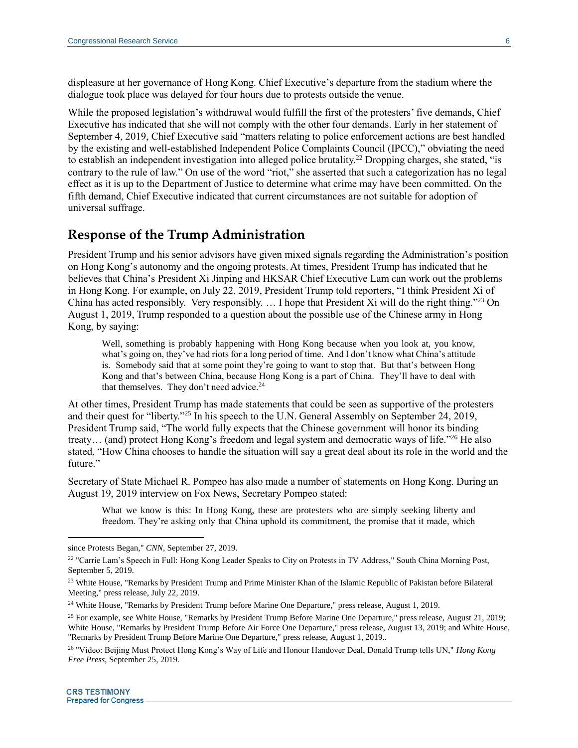displeasure at her governance of Hong Kong. Chief Executive's departure from the stadium where the dialogue took place was delayed for four hours due to protests outside the venue.

While the proposed legislation's withdrawal would fulfill the first of the protesters' five demands, Chief Executive has indicated that she will not comply with the other four demands. Early in her statement of September 4, 2019, Chief Executive said "matters relating to police enforcement actions are best handled by the existing and well-established Independent Police Complaints Council (IPCC)," obviating the need to establish an independent investigation into alleged police brutality.<sup>22</sup> Dropping charges, she stated, "is contrary to the rule of law." On use of the word "riot," she asserted that such a categorization has no legal effect as it is up to the Department of Justice to determine what crime may have been committed. On the fifth demand, Chief Executive indicated that current circumstances are not suitable for adoption of universal suffrage.

## **Response of the Trump Administration**

President Trump and his senior advisors have given mixed signals regarding the Administration's position on Hong Kong's autonomy and the ongoing protests. At times, President Trump has indicated that he believes that China's President Xi Jinping and HKSAR Chief Executive Lam can work out the problems in Hong Kong. For example, on July 22, 2019, President Trump told reporters, "I think President Xi of China has acted responsibly. Very responsibly.  $\ldots$  I hope that President Xi will do the right thing."<sup>23</sup> On August 1, 2019, Trump responded to a question about the possible use of the Chinese army in Hong Kong, by saying:

Well, something is probably happening with Hong Kong because when you look at, you know, what's going on, they've had riots for a long period of time. And I don't know what China's attitude is. Somebody said that at some point they're going to want to stop that. But that's between Hong Kong and that's between China, because Hong Kong is a part of China. They'll have to deal with that themselves. They don't need advice. $24$ 

At other times, President Trump has made statements that could be seen as supportive of the protesters and their quest for "liberty."<sup>25</sup> In his speech to the U.N. General Assembly on September 24, 2019, President Trump said, "The world fully expects that the Chinese government will honor its binding treaty... (and) protect Hong Kong's freedom and legal system and democratic ways of life."<sup>26</sup> He also stated, "How China chooses to handle the situation will say a great deal about its role in the world and the future."

Secretary of State Michael R. Pompeo has also made a number of statements on Hong Kong. During an August 19, 2019 interview on Fox News, Secretary Pompeo stated:

What we know is this: In Hong Kong, these are protesters who are simply seeking liberty and freedom. They're asking only that China uphold its commitment, the promise that it made, which

since Protests Began," *CNN*, September 27, 2019.

<sup>&</sup>lt;sup>22</sup> "Carrie Lam's Speech in Full: Hong Kong Leader Speaks to City on Protests in TV Address," South China Morning Post, September 5, 2019.

<sup>&</sup>lt;sup>23</sup> White House, "Remarks by President Trump and Prime Minister Khan of the Islamic Republic of Pakistan before Bilateral Meeting," press release, July 22, 2019.

<sup>24</sup> White House, "Remarks by President Trump before Marine One Departure," press release, August 1, 2019.

<sup>&</sup>lt;sup>25</sup> For example, see White House, "Remarks by President Trump Before Marine One Departure," press release, August 21, 2019; White House, "Remarks by President Trump Before Air Force One Departure," press release, August 13, 2019; and White House, "Remarks by President Trump Before Marine One Departure," press release, August 1, 2019..

<sup>26</sup> "Video: Beijing Must Protect Hong Kong's Way of Life and Honour Handover Deal, Donald Trump tells UN," *Hong Kong Free Press*, September 25, 2019.